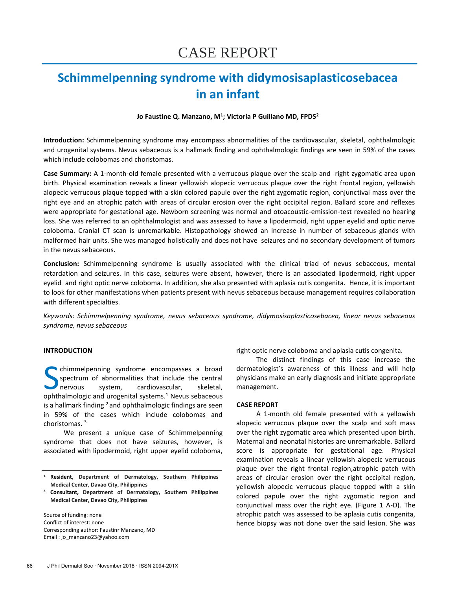# **Schimmelpenning syndrome with didymosisaplasticosebacea in an infant**

# **Jo Faustine Q. Manzano, M<sup>1</sup> ; Victoria P Guillano MD, FPDS<sup>2</sup>**

**Introduction:** Schimmelpenning syndrome may encompass abnormalities of the cardiovascular, skeletal, ophthalmologic and urogenital systems. Nevus sebaceous is a hallmark finding and ophthalmologic findings are seen in 59% of the cases which include colobomas and choristomas.

**Case Summary:** A 1-month-old female presented with a verrucous plaque over the scalp and right zygomatic area upon birth. Physical examination reveals a linear yellowish alopecic verrucous plaque over the right frontal region, yellowish alopecic verrucous plaque topped with a skin colored papule over the right zygomatic region, conjunctival mass over the right eye and an atrophic patch with areas of circular erosion over the right occipital region. Ballard score and reflexes were appropriate for gestational age. Newborn screening was normal and otoacoustic-emission-test revealed no hearing loss. She was referred to an ophthalmologist and was assessed to have a lipodermoid, right upper eyelid and optic nerve coloboma. Cranial CT scan is unremarkable. Histopathology showed an increase in number of sebaceous glands with malformed hair units. She was managed holistically and does not have seizures and no secondary development of tumors in the nevus sebaceous.

**Conclusion:** Schimmelpenning syndrome is usually associated with the clinical triad of nevus sebaceous, mental retardation and seizures. In this case, seizures were absent, however, there is an associated lipodermoid, right upper eyelid and right optic nerve coloboma. In addition, she also presented with aplasia cutis congenita. Hence, it is important to look for other manifestations when patients present with nevus sebaceous because management requires collaboration with different specialties.

*Keywords: Schimmelpenning syndrome, nevus sebaceous syndrome, didymosisaplasticosebacea, linear nevus sebaceous syndrome, nevus sebaceous*

### **INTRODUCTION**

chimmelpenning syndrome encompasses a broad spectrum of abnormalities that include the central nervous system, cardiovascular, skeletal, Chimmelpenning syndrome encompasses a broad<br>spectrum of abnormalities that include the central<br>nervous system, cardiovascular, skeletal,<br>ophthalmologic and urogenital systems.<sup>1</sup> Nevus sebaceous is a hallmark finding  $2$  and ophthalmologic findings are seen in 59% of the cases which include colobomas and choristomas. <sup>3</sup>

We present a unique case of Schimmelpenning syndrome that does not have seizures, however, is associated with lipodermoid, right upper eyelid coloboma,

Source of funding: none Conflict of interest: none Corresponding author: Faustinr Manzano, MD Email : jo\_manzano23@yahoo.com

right optic nerve coloboma and aplasia cutis congenita.

The distinct findings of this case increase the dermatologist's awareness of this illness and will help physicians make an early diagnosis and initiate appropriate management.

#### **CASE REPORT**

A 1-month old female presented with a yellowish alopecic verrucous plaque over the scalp and soft mass over the right zygomatic area which presented upon birth. Maternal and neonatal histories are unremarkable. Ballard score is appropriate for gestational age. Physical examination reveals a linear yellowish alopecic verrucous plaque over the right frontal region,atrophic patch with areas of circular erosion over the right occipital region, yellowish alopecic verrucous plaque topped with a skin colored papule over the right zygomatic region and conjunctival mass over the right eye. (Figure 1 A-D). The atrophic patch was assessed to be aplasia cutis congenita, hence biopsy was not done over the said lesion. She was

**<sup>1.</sup> Resident, Department of Dermatology, Southern Philippines Medical Center, Davao City, Philippines**

**<sup>2.</sup> Consultant, Department of Dermatology, Southern Philippines Medical Center, Davao City, Philippines**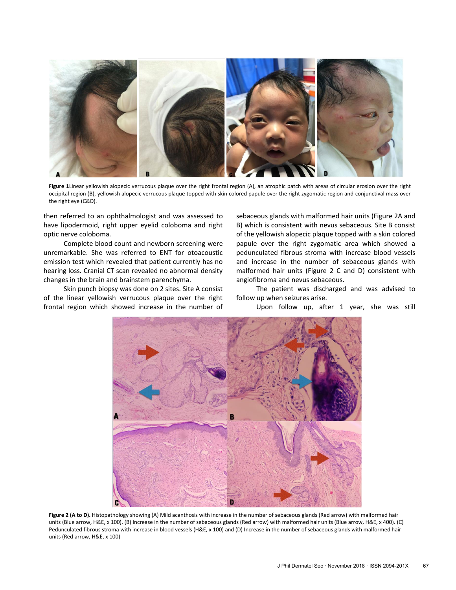

**Figure 1**Linear yellowish alopecic verrucous plaque over the right frontal region (A), an atrophic patch with areas of circular erosion over the right occipital region (B), yellowish alopecic verrucous plaque topped with skin colored papule over the right zygomatic region and conjunctival mass over the right eye (C&D).

then referred to an ophthalmologist and was assessed to have lipodermoid, right upper eyelid coloboma and right optic nerve coloboma.

Complete blood count and newborn screening were unremarkable. She was referred to ENT for otoacoustic emission test which revealed that patient currently has no hearing loss. Cranial CT scan revealed no abnormal density changes in the brain and brainstem parenchyma.

Skin punch biopsy was done on 2 sites. Site A consist of the linear yellowish verrucous plaque over the right frontal region which showed increase in the number of

sebaceous glands with malformed hair units (Figure 2A and B) which is consistent with nevus sebaceous. Site B consist of the yellowish alopecic plaque topped with a skin colored papule over the right zygomatic area which showed a pedunculated fibrous stroma with increase blood vessels and increase in the number of sebaceous glands with malformed hair units (Figure 2 C and D) consistent with angiofibroma and nevus sebaceous.

The patient was discharged and was advised to follow up when seizures arise.

Upon follow up, after 1 year, she was still



Figure 2 (A to D). Histopathology showing (A) Mild acanthosis with increase in the number of sebaceous glands (Red arrow) with malformed hair units (Blue arrow, H&E, x 100). (B) Increase in the number of sebaceous glands (Red arrow) with malformed hair units (Blue arrow, H&E, x 400). (C) Pedunculated fibrous stroma with increase in blood vessels (H&E, x 100) and (D) Increase in the number of sebaceous glands with malformed hair units (Red arrow, H&E, x 100)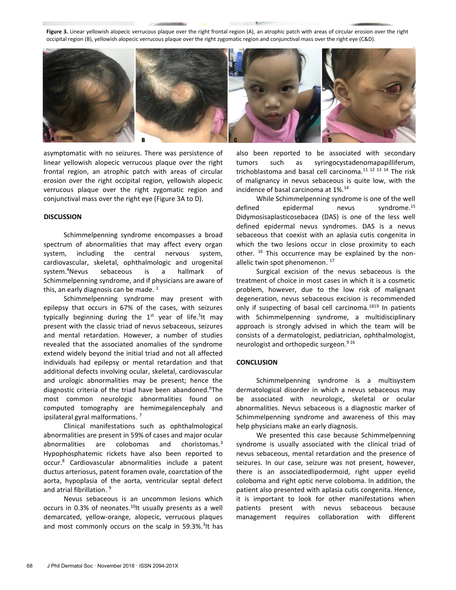**Figure 3.** Linear yellowish alopecic verrucous plaque over the right frontal region (A), an atrophic patch with areas of circular erosion over the right occipital region (B), yellowish alopecic verrucous plaque over the right zygomatic region and conjunctival mass over the right eye (C&D).



asymptomatic with no seizures. There was persistence of linear yellowish alopecic verrucous plaque over the right frontal region, an atrophic patch with areas of circular erosion over the right occipital region, yellowish alopecic verrucous plaque over the right zygomatic region and conjunctival mass over the right eye (Figure 3A to D).

# **DISCUSSION**

Schimmelpenning syndrome encompasses a broad spectrum of abnormalities that may affect every organ system, including the central nervous system, cardiovascular, skeletal, ophthalmologic and urogenital system.<sup>4</sup>Nevus sebaceous is a hallmark of Schimmelpenning syndrome, and if physicians are aware of this, an early diagnosis can be made.  $1$ 

Schimmelpenning syndrome may present with epilepsy that occurs in 67% of the cases, with seizures typically beginning during the 1<sup>st</sup> year of life.<sup>5</sup>lt may present with the classic triad of nevus sebaceous, seizures and mental retardation. However, a number of studies revealed that the associated anomalies of the syndrome extend widely beyond the initial triad and not all affected individuals had epilepsy or mental retardation and that additional defects involving ocular, skeletal, cardiovascular and urologic abnormalities may be present; hence the diagnostic criteria of the triad have been abandoned.<sup>6</sup>The most common neurologic abnormalities found on computed tomography are hemimegalencephaly and ipsilateral gyral malformations. <sup>7</sup>

Clinical manifestations such as ophthalmological abnormalities are present in 59% of cases and major ocular abnormalities are colobomas and choristomas.<sup>3</sup> Hypophosphatemic rickets have also been reported to occur.<sup>8</sup> Cardiovascular abnormalities include a patent ductus arteriosus, patent foramen ovale, coarctation of the aorta, hypoplasia of the aorta, ventricular septal defect and atrial fibrillation.<sup>9</sup>

Nevus sebaceous is an uncommon lesions which occurs in 0.3% of neonates.<sup>10</sup>It usually presents as a well demarcated, yellow-orange, alopecic, verrucous plaques and most commonly occurs on the scalp in 59.3%.<sup>3</sup>It has also been reported to be associated with secondary tumors such as syringocystadenomapapilliferum, trichoblastoma and basal cell carcinoma.<sup>11 12 13 14</sup> The risk of malignancy in nevus sebaceous is quite low, with the incidence of basal carcinoma at 1%.<sup>14</sup>

While Schimmelpenning syndrome is one of the well defined epidermal nevus syndrome.<sup>15</sup> Didymosisaplasticosebacea (DAS) is one of the less well defined epidermal nevus syndromes. DAS is a nevus sebaceous that coexist with an aplasia cutis congenita in which the two lesions occur in close proximity to each other.  $16$  This occurrence may be explained by the nonallelic twin spot phenomenon.<sup>17</sup>

Surgical excision of the nevus sebaceous is the treatment of choice in most cases in which it is a cosmetic problem, however, due to the low risk of malignant degeneration, nevus sebaceous excision is recommended only if suspecting of basal cell carcinoma.<sup>1819</sup> In patients with Schimmelpenning syndrome, a multidisciplinary approach is strongly advised in which the team will be consists of a dermatologist, pediatrician, ophthalmologist, neurologist and orthopedic surgeon.9 16

## **CONCLUSION**

Schimmelpenning syndrome is a multisystem dermatological disorder in which a nevus sebaceous may be associated with neurologic, skeletal or ocular abnormalities. Nevus sebaceous is a diagnostic marker of Schimmelpenning syndrome and awareness of this may help physicians make an early diagnosis.

We presented this case because Schimmelpenning syndrome is usually associated with the clinical triad of nevus sebaceous, mental retardation and the presence of seizures. In our case, seizure was not present, however, there is an associatedlipodermoid, right upper eyelid coloboma and right optic nerve coloboma. In addition, the patient also presented with aplasia cutis congenita. Hence, it is important to look for other manifestations when patients present with nevus sebaceous because management requires collaboration with different